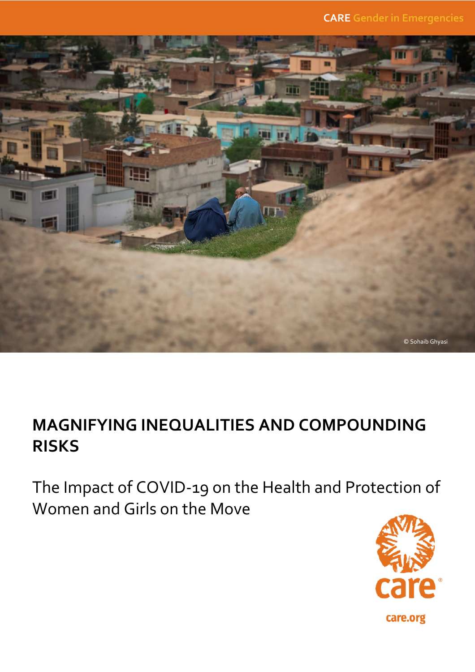**CARE Gender in Emergencies**



## **MAGNIFYING INEQUALITIES AND COMPOUNDING RISKS**

The Impact of COVID-19 on the Health and Protection of Women and Girls on the Move

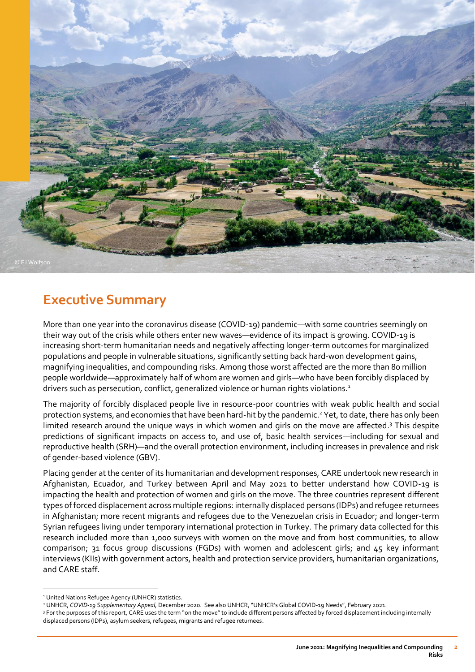

## **Executive Summary**

More than one year into the coronavirus disease (COVID-19) pandemic—with some countries seemingly on their way out of the crisis while others enter new waves—evidence of its impact is growing. COVID-19 is increasing short-term humanitarian needs and negatively affecting longer-term outcomes for marginalized populations and people in vulnerable situations, significantly setting back hard-won development gains, magnifying inequalities, and compounding risks. Among those worst affected are the more than 80 million people worldwide—approximately half of whom are women and girls—who have been forcibly displaced by drivers such as persecution, conflict, generalized violence or human rights violations.<sup>1</sup>

The majority of forcibly displaced people live in resource-poor countries with weak public health and social protection systems, and economies that have been hard-hit by the pandemic.<sup>2</sup> Yet, to date, there has only been limited research around the unique ways in which women and girls on the move are affected. <sup>3</sup> This despite predictions of significant impacts on access to, and use of, basic health services—including for sexual and reproductive health (SRH)—and the overall protection environment, including increases in prevalence and risk of gender-based violence (GBV).

Placing gender at the center of its humanitarian and development responses, CARE undertook new research in Afghanistan, Ecuador, and Turkey between April and May 2021 to better understand how COVID-19 is impacting the health and protection of women and girls on the move. The three countries represent different types of forced displacement across multiple regions: internally displaced persons (IDPs) and refugee returnees in Afghanistan; more recent migrants and refugees due to the Venezuelan crisis in Ecuador; and longer-term Syrian refugees living under temporary international protection in Turkey. The primary data collected for this research included more than 1,000 surveys with women on the move and from host communities, to allow comparison; 31 focus group discussions (FGDs) with women and adolescent girls; and  $45$  key informant interviews (KIIs) with government actors, health and protection service providers, humanitarian organizations, and CARE staff.

<sup>&</sup>lt;sup>1</sup> United Nations Refugee Agency (UNHCR) statistics.

<sup>2</sup> UNHCR, *COVID-19 Supplementary Appeal,* December 2020. See also UNHCR, "UNHCR's Global COVID-19 Needs", February 2021.

<sup>&</sup>lt;sup>3</sup> For the purposes of this report, CARE uses the term "on the move" to include different persons affected by forced displacement including internally displaced persons (IDPs), asylum seekers, refugees, migrants and refugee returnees.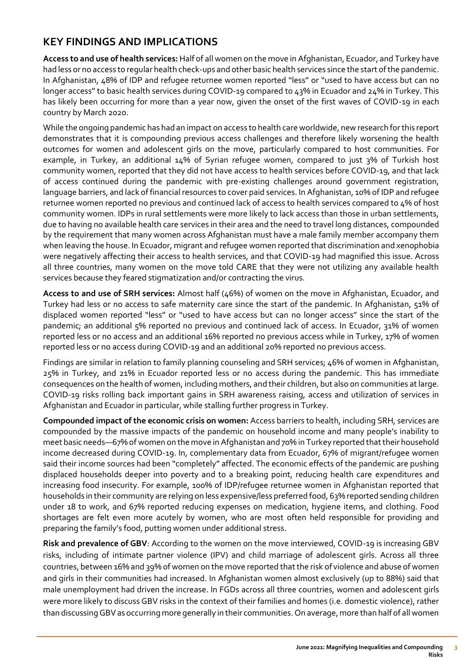## **KEY FINDINGS AND IMPLICATIONS**

**Access to and use of health services:** Half of all women on the move in Afghanistan, Ecuador, and Turkey have had less or no access to regular health check-ups and other basic health services since the start of the pandemic. In Afghanistan, 48% of IDP and refugee returnee women reported "less" or "used to have access but can no longer access" to basic health services during COVID-19 compared to 43% in Ecuador and 24% in Turkey. This has likely been occurring for more than a year now, given the onset of the first waves of COVID-19 in each country by March 2020.

While the ongoing pandemic has had an impact on access to health care worldwide, new research for this report demonstrates that it is compounding previous access challenges and therefore likely worsening the health outcomes for women and adolescent girls on the move, particularly compared to host communities. For example, in Turkey, an additional 14% of Syrian refugee women, compared to just 3% of Turkish host community women, reported that they did not have access to health services before COVID-19, and that lack of access continued during the pandemic with pre-existing challenges around government registration, language barriers, and lack of financial resources to cover paid services. In Afghanistan, 10% of IDP and refugee returnee women reported no previous and continued lack of access to health services compared to 4% of host community women. IDPs in rural settlements were more likely to lack access than those in urban settlements, due to having no available health care services in their area and the need to travel long distances, compounded by the requirement that many women across Afghanistan must have a male family member accompany them when leaving the house. In Ecuador, migrant and refugee women reported that discrimination and xenophobia were negatively affecting their access to health services, and that COVID-19 had magnified this issue. Across all three countries, many women on the move told CARE that they were not utilizing any available health services because they feared stigmatization and/or contracting the virus.

**Access to and use of SRH services:** Almost half (46%) of women on the move in Afghanistan, Ecuador, and Turkey had less or no access to safe maternity care since the start of the pandemic. In Afghanistan, 51% of displaced women reported "less" or "used to have access but can no longer access" since the start of the pandemic; an additional 5% reported no previous and continued lack of access. In Ecuador, 31% of women reported less or no access and an additional 16% reported no previous access while in Turkey, 17% of women reported less or no access during COVID-19 and an additional 20% reported no previous access.

Findings are similar in relation to family planning counseling and SRH services; 46% of women in Afghanistan, 25% in Turkey, and 21% in Ecuador reported less or no access during the pandemic. This has immediate consequences on the health of women, including mothers, and their children, but also on communities at large. COVID-19 risks rolling back important gains in SRH awareness raising, access and utilization of services in Afghanistan and Ecuador in particular, while stalling further progress in Turkey.

**Compounded impact of the economic crisis on women:** Access barriers to health, including SRH, services are compounded by the massive impacts of the pandemic on household income and many people's inability to meet basic needs—67% of women on the move in Afghanistan and 70% in Turkey reported that their household income decreased during COVID-19. In, complementary data from Ecuador, 67% of migrant/refugee women said their income sources had been "completely" affected. The economic effects of the pandemic are pushing displaced households deeper into poverty and to a breaking point, reducing health care expenditures and increasing food insecurity. For example, 100% of IDP/refugee returnee women in Afghanistan reported that households in their community are relying on less expensive/less preferred food, 63% reported sending children under 18 to work, and 67% reported reducing expenses on medication, hygiene items, and clothing. Food shortages are felt even more acutely by women, who are most often held responsible for providing and preparing the family's food, putting women under additional stress.

**Risk and prevalence of GBV**: According to the women on the move interviewed, COVID-19 is increasing GBV risks, including of intimate partner violence (IPV) and child marriage of adolescent girls. Across all three countries, between 16% and 39% of women on the move reported that the risk of violence and abuse of women and girls in their communities had increased. In Afghanistan women almost exclusively (up to 88%) said that male unemployment had driven the increase. In FGDs across all three countries, women and adolescent girls were more likely to discuss GBV risks in the context of their families and homes (i.e. domestic violence), rather than discussing GBV as occurring more generally in their communities. On average, more than half of all women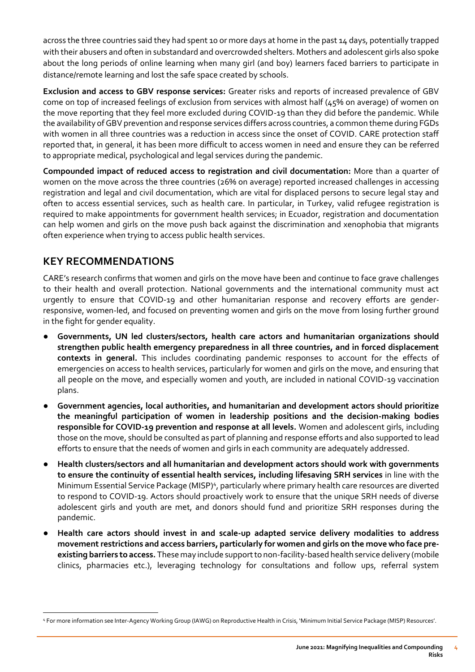across the three countries said they had spent 10 or more days at home in the past 14 days, potentially trapped with their abusers and often in substandard and overcrowded shelters. Mothers and adolescent girls also spoke about the long periods of online learning when many girl (and boy) learners faced barriers to participate in distance/remote learning and lost the safe space created by schools.

**Exclusion and access to GBV response services:** Greater risks and reports of increased prevalence of GBV come on top of increased feelings of exclusion from services with almost half (45% on average) of women on the move reporting that they feel more excluded during COVID-19 than they did before the pandemic. While the availability of GBV prevention and response services differs across countries, a common theme during FGDs with women in all three countries was a reduction in access since the onset of COVID. CARE protection staff reported that, in general, it has been more difficult to access women in need and ensure they can be referred to appropriate medical, psychological and legal services during the pandemic.

**Compounded impact of reduced access to registration and civil documentation:** More than a quarter of women on the move across the three countries (26% on average) reported increased challenges in accessing registration and legal and civil documentation, which are vital for displaced persons to secure legal stay and often to access essential services, such as health care. In particular, in Turkey, valid refugee registration is required to make appointments for government health services; in Ecuador, registration and documentation can help women and girls on the move push back against the discrimination and xenophobia that migrants often experience when trying to access public health services.

## **KEY RECOMMENDATIONS**

CARE's research confirms that women and girls on the move have been and continue to face grave challenges to their health and overall protection. National governments and the international community must act urgently to ensure that COVID-19 and other humanitarian response and recovery efforts are genderresponsive, women-led, and focused on preventing women and girls on the move from losing further ground in the fight for gender equality.

- Governments, UN led clusters/sectors, health care actors and humanitarian organizations should **strengthen public health emergency preparedness in all three countries, and in forced displacement contexts in general.** This includes coordinating pandemic responses to account for the effects of emergencies on access to health services, particularly for women and girls on the move, and ensuring that all people on the move, and especially women and youth, are included in national COVID-19 vaccination plans.
- Government agencies, local authorities, and humanitarian and development actors should prioritize **the meaningful participation of women in leadership positions and the decision-making bodies responsible for COVID-19 prevention and response at all levels.** Women and adolescent girls, including those on the move, should be consulted as part of planning and response efforts and also supported to lead efforts to ensure that the needs of women and girls in each community are adequately addressed.
- Health clusters/sectors and all humanitarian and development actors should work with governments **to ensure the continuity of essential health services, including lifesaving SRH services** in line with the Minimum Essential Service Package (MISP)<sup>4</sup>, particularly where primary health care resources are diverted to respond to COVID-19. Actors should proactively work to ensure that the unique SRH needs of diverse adolescent girls and youth are met, and donors should fund and prioritize SRH responses during the pandemic.
- **Health care actors should invest in and scale-up adapted service delivery modalities to address movement restrictions and access barriers, particularly for women and girls on the move who face preexisting barriers to access.** These may include support to non-facility-based health service delivery (mobile clinics, pharmacies etc.), leveraging technology for consultations and follow ups, referral system

<sup>4</sup> For more information see Inter-Agency Working Group (IAWG) on Reproductive Health in Crisis, 'Minimum Initial Service Package (MISP) Resources'.